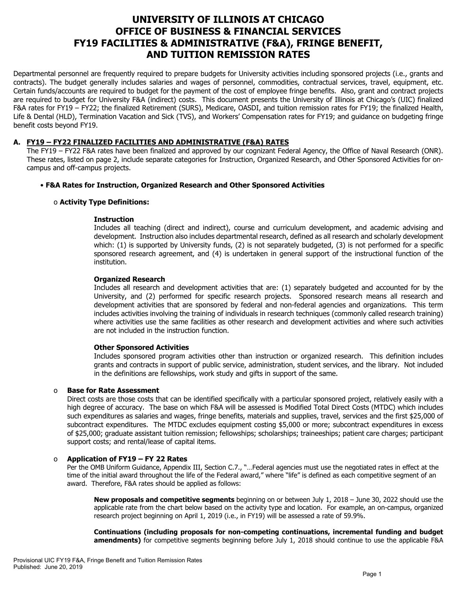# **UNIVERSITY OF ILLINOIS AT CHICAGO OFFICE OF BUSINESS & FINANCIAL SERVICES FY19 FACILITIES & ADMINISTRATIVE (F&A), FRINGE BENEFIT, AND TUITION REMISSION RATES**

Departmental personnel are frequently required to prepare budgets for University activities including sponsored projects (i.e., grants and contracts). The budget generally includes salaries and wages of personnel, commodities, contractual services, travel, equipment, etc. Certain funds/accounts are required to budget for the payment of the cost of employee fringe benefits. Also, grant and contract projects are required to budget for University F&A (indirect) costs. This document presents the University of Illinois at Chicago's (UIC) finalized F&A rates for FY19 – FY22; the finalized Retirement (SURS), Medicare, OASDI, and tuition remission rates for FY19; the finalized Health, Life & Dental (HLD), Termination Vacation and Sick (TVS), and Workers' Compensation rates for FY19; and guidance on budgeting fringe benefit costs beyond FY19.

# **A. FY19 – FY22 FINALIZED FACILITIES AND ADMINISTRATIVE (F&A) RATES**

The FY19 – FY22 F&A rates have been finalized and approved by our cognizant Federal Agency, the Office of Naval Research (ONR). These rates, listed on page 2, include separate categories for Instruction, Organized Research, and Other Sponsored Activities for oncampus and off-campus projects.

# • **F&A Rates for Instruction, Organized Research and Other Sponsored Activities**

# o **Activity Type Definitions:**

#### **Instruction**

Includes all teaching (direct and indirect), course and curriculum development, and academic advising and development. Instruction also includes departmental research, defined as all research and scholarly development which: (1) is supported by University funds, (2) is not separately budgeted, (3) is not performed for a specific sponsored research agreement, and (4) is undertaken in general support of the instructional function of the institution.

#### **Organized Research**

Includes all research and development activities that are: (1) separately budgeted and accounted for by the University, and (2) performed for specific research projects. Sponsored research means all research and development activities that are sponsored by federal and non-federal agencies and organizations. This term includes activities involving the training of individuals in research techniques (commonly called research training) where activities use the same facilities as other research and development activities and where such activities are not included in the instruction function.

#### **Other Sponsored Activities**

Includes sponsored program activities other than instruction or organized research. This definition includes grants and contracts in support of public service, administration, student services, and the library. Not included in the definitions are fellowships, work study and gifts in support of the same.

# o **Base for Rate Assessment**

Direct costs are those costs that can be identified specifically with a particular sponsored project, relatively easily with a high degree of accuracy. The base on which F&A will be assessed is Modified Total Direct Costs (MTDC) which includes such expenditures as salaries and wages, fringe benefits, materials and supplies, travel, services and the first \$25,000 of subcontract expenditures. The MTDC excludes equipment costing \$5,000 or more; subcontract expenditures in excess of \$25,000; graduate assistant tuition remission; fellowships; scholarships; traineeships; patient care charges; participant support costs; and rental/lease of capital items.

# o **Application of FY19 – FY 22 Rates**

Per the OMB Uniform Guidance, Appendix III, Section C.7., "…Federal agencies must use the negotiated rates in effect at the time of the initial award throughout the life of the Federal award," where "life" is defined as each competitive segment of an award. Therefore, F&A rates should be applied as follows:

**New proposals and competitive segments** beginning on or between July 1, 2018 – June 30, 2022 should use the applicable rate from the chart below based on the activity type and location. For example, an on-campus, organized research project beginning on April 1, 2019 (i.e., in FY19) will be assessed a rate of 59.9%.

**Continuations (including proposals for non-competing continuations, incremental funding and budget amendments)** for competitive segments beginning before July 1, 2018 should continue to use the applicable F&A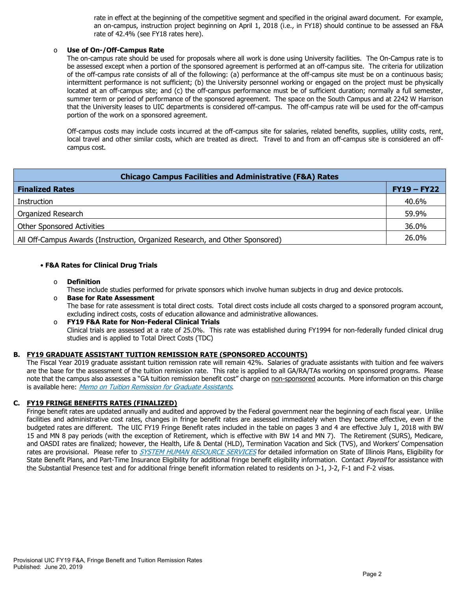rate in effect at the beginning of the competitive segment and specified in the original award document. For example, an on-campus, instruction project beginning on April 1, 2018 (i.e., in FY18) should continue to be assessed an F&A rate of 42.4% [\(see FY18 rates here\).](https://www.obfs.uillinois.edu/common/pages/DisplayFile.aspx?itemId=784234)

#### o **Use of On-/Off-Campus Rate**

The on-campus rate should be used for proposals where all work is done using University facilities. The On-Campus rate is to be assessed except when a portion of the sponsored agreement is performed at an off-campus site. The criteria for utilization of the off-campus rate consists of all of the following: (a) performance at the off-campus site must be on a continuous basis; intermittent performance is not sufficient; (b) the University personnel working or engaged on the project must be physically located at an off-campus site; and (c) the off-campus performance must be of sufficient duration; normally a full semester, summer term or period of performance of the sponsored agreement. The space on the South Campus and at 2242 W Harrison that the University leases to UIC departments is considered off-campus. The off-campus rate will be used for the off-campus portion of the work on a sponsored agreement.

Off-campus costs may include costs incurred at the off-campus site for salaries, related benefits, supplies, utility costs, rent, local travel and other similar costs, which are treated as direct. Travel to and from an off-campus site is considered an offcampus cost.

| <b>Chicago Campus Facilities and Administrative (F&amp;A) Rates</b>          |               |  |  |  |  |
|------------------------------------------------------------------------------|---------------|--|--|--|--|
| <b>Finalized Rates</b>                                                       | $FY19 - FY22$ |  |  |  |  |
| Instruction                                                                  | 40.6%         |  |  |  |  |
| Organized Research                                                           | 59.9%         |  |  |  |  |
| <b>Other Sponsored Activities</b>                                            | 36.0%         |  |  |  |  |
| All Off-Campus Awards (Instruction, Organized Research, and Other Sponsored) | 26.0%         |  |  |  |  |

#### • **F&A Rates for Clinical Drug Trials**

o **Definition**

These include studies performed for private sponsors which involve human subjects in drug and device protocols.

- o **Base for Rate Assessment**  The base for rate assessment is total direct costs. Total direct costs include all costs charged to a sponsored program account, excluding indirect costs, costs of education allowance and administrative allowances.
- o **FY19 F&A Rate for Non-Federal Clinical Trials** Clinical trials are assessed at a rate of 25.0%. This rate was established during FY1994 for non-federally funded clinical drug studies and is applied to Total Direct Costs (TDC)

# **B. FY19 GRADUATE ASSISTANT TUITION REMISSION RATE (SPONSORED ACCOUNTS)**

The Fiscal Year 2019 graduate assistant tuition remission rate will remain 42%. Salaries of graduate assistants with tuition and fee waivers are the base for the assessment of the tuition remission rate. This rate is applied to all GA/RA/TAs working on sponsored programs. Please note that the campus also assesses a "GA tuition remission benefit cost" charge on non-sponsored accounts. More information on this charge is available here: [Memo on Tuition Remission for Graduate Assistants](https://www.obfs.uillinois.edu/common/pages/DisplayFile.aspx?itemId=436386).

# **C. FY19 FRINGE BENEFITS RATES (FINALIZED)**

Fringe benefit rates are updated annually and audited and approved by the Federal government near the beginning of each fiscal year. Unlike facilities and administrative cost rates, changes in fringe benefit rates are assessed immediately when they become effective, even if the budgeted rates are different. The UIC FY19 Fringe Benefit rates included in the table on pages 3 and 4 are effective July 1, 2018 with BW 15 and MN 8 pay periods (with the exception of Retirement, which is effective with BW 14 and MN 7). The Retirement (SURS), Medicare, and OASDI rates are finalized; however, the Health, Life & Dental (HLD), Termination Vacation and Sick (TVS), and Workers' Compensation rates are provisional. Please refer to [SYSTEM HUMAN RESOURCE SERVICES](https://www.hr.uillinois.edu/benefits/)</u> for detailed information on State of Illinois Plans, Eligibility for State Benefit Plans, and Part-Time Insurance Eligibility for additional fringe benefit eligibility information. Contact [Payroll](https://www.obfs.uillinois.edu/payroll/customer-service/) for assistance with the Substantial Presence test and for additional fringe benefit information related to residents on J-1, J-2, F-1 and F-2 visas.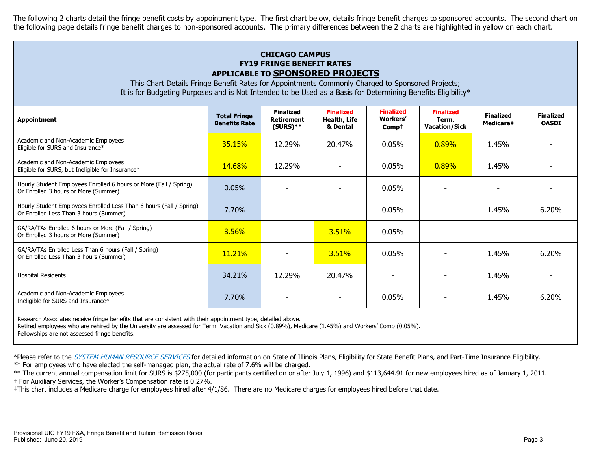The following 2 charts detail the fringe benefit costs by appointment type. The first chart below, details fringe benefit charges to sponsored accounts. The second chart on the following page details fringe benefit charges to non-sponsored accounts. The primary differences between the 2 charts are highlighted in yellow on each chart.

# **CHICAGO CAMPUS FY19 FRINGE BENEFIT RATES APPLICABLE TO SPONSORED PROJECTS**

This Chart Details Fringe Benefit Rates for Appointments Commonly Charged to Sponsored Projects; It is for Budgeting Purposes and is Not Intended to be Used as a Basis for Determining Benefits Eligibility\*

| <b>Appointment</b>                                                                                            | <b>Total Fringe</b><br><b>Benefits Rate</b> | <b>Finalized</b><br><b>Retirement</b><br>$(SURS)$ ** | <b>Finalized</b><br>Health, Life<br>& Dental | <b>Finalized</b><br>Workers'<br>$Comp+$ | <b>Finalized</b><br>Term.<br><b>Vacation/Sick</b> | <b>Finalized</b><br>Medicare <sup>#</sup> | <b>Finalized</b><br><b>OASDI</b> |
|---------------------------------------------------------------------------------------------------------------|---------------------------------------------|------------------------------------------------------|----------------------------------------------|-----------------------------------------|---------------------------------------------------|-------------------------------------------|----------------------------------|
| Academic and Non-Academic Employees<br>Eligible for SURS and Insurance*                                       | 35.15%                                      | 12.29%                                               | 20.47%                                       | 0.05%                                   | 0.89%                                             | 1.45%                                     |                                  |
| Academic and Non-Academic Employees<br>Eligible for SURS, but Ineligible for Insurance*                       | 14.68%                                      | 12.29%                                               |                                              | 0.05%                                   | $0.89\%$                                          | 1.45%                                     |                                  |
| Hourly Student Employees Enrolled 6 hours or More (Fall / Spring)<br>Or Enrolled 3 hours or More (Summer)     | 0.05%                                       |                                                      |                                              | 0.05%                                   |                                                   |                                           |                                  |
| Hourly Student Employees Enrolled Less Than 6 hours (Fall / Spring)<br>Or Enrolled Less Than 3 hours (Summer) | 7.70%                                       |                                                      |                                              | $0.05\%$                                |                                                   | 1.45%                                     | 6.20%                            |
| GA/RA/TAs Enrolled 6 hours or More (Fall / Spring)<br>Or Enrolled 3 hours or More (Summer)                    | 3.56%                                       |                                                      | 3.51%                                        | 0.05%                                   |                                                   |                                           |                                  |
| GA/RA/TAs Enrolled Less Than 6 hours (Fall / Spring)<br>Or Enrolled Less Than 3 hours (Summer)                | 11.21%                                      |                                                      | 3.51%                                        | 0.05%                                   |                                                   | 1.45%                                     | 6.20%                            |
| Hospital Residents                                                                                            | 34.21%                                      | 12.29%                                               | 20.47%                                       |                                         |                                                   | 1.45%                                     |                                  |
| Academic and Non-Academic Employees<br>Ineligible for SURS and Insurance*                                     | 7.70%                                       |                                                      |                                              | 0.05%                                   |                                                   | 1.45%                                     | 6.20%                            |
|                                                                                                               |                                             |                                                      |                                              |                                         |                                                   |                                           |                                  |

Research Associates receive fringe benefits that are consistent with their appointment type, detailed above.

Retired employees who are rehired by the University are assessed for Term. Vacation and Sick (0.89%), Medicare (1.45%) and Workers' Comp (0.05%).

Fellowships are not assessed fringe benefits.

\*Please refer to the [SYSTEM HUMAN RESOURCE SERVICES](https://www.hr.uillinois.edu/benefits/) for detailed information on State of Illinois Plans, Eligibility for State Benefit Plans, and Part-Time Insurance Eligibility.

\*\* For employees who have elected the self-managed plan, the actual rate of 7.6% will be charged.

\*\* The current annual compensation limit for SURS is \$275,000 (for participants certified on or after July 1, 1996) and \$113,644.91 for new employees hired as of January 1, 2011. † For Auxiliary Services, the Worker's Compensation rate is 0.27%.

‡This chart includes a Medicare charge for employees hired after 4/1/86. There are no Medicare charges for employees hired before that date.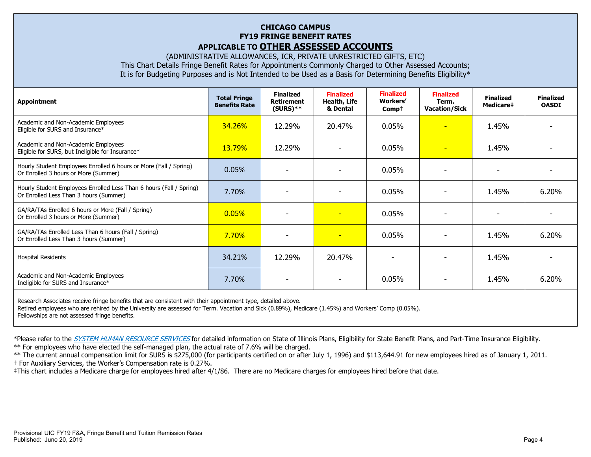# **CHICAGO CAMPUS FY19 FRINGE BENEFIT RATES APPLICABLE TO OTHER ASSESSED ACCOUNTS**

(ADMINISTRATIVE ALLOWANCES, ICR, PRIVATE UNRESTRICTED GIFTS, ETC) This Chart Details Fringe Benefit Rates for Appointments Commonly Charged to Other Assessed Accounts; It is for Budgeting Purposes and is Not Intended to be Used as a Basis for Determining Benefits Eligibility\*

| Appointment                                                                                                                                                                                                                    | <b>Total Fringe</b><br><b>Benefits Rate</b> | <b>Finalized</b><br><b>Retirement</b><br>$(SURS)$ ** | <b>Finalized</b><br>Health, Life<br>& Dental | <b>Finalized</b><br><b>Workers'</b><br>$Comp+$ | <b>Finalized</b><br>Term.<br><b>Vacation/Sick</b> | <b>Finalized</b><br><b>Medicare‡</b> | <b>Finalized</b><br><b>OASDI</b> |
|--------------------------------------------------------------------------------------------------------------------------------------------------------------------------------------------------------------------------------|---------------------------------------------|------------------------------------------------------|----------------------------------------------|------------------------------------------------|---------------------------------------------------|--------------------------------------|----------------------------------|
| Academic and Non-Academic Employees<br>Eligible for SURS and Insurance*                                                                                                                                                        | 34.26%                                      | 12.29%                                               | 20.47%                                       | 0.05%                                          | ٠                                                 | 1.45%                                |                                  |
| Academic and Non-Academic Employees<br>Eligible for SURS, but Ineligible for Insurance*                                                                                                                                        | 13.79%                                      | 12.29%                                               |                                              | 0.05%                                          | $\overline{\phantom{a}}$                          | 1.45%                                |                                  |
| Hourly Student Employees Enrolled 6 hours or More (Fall / Spring)<br>Or Enrolled 3 hours or More (Summer)                                                                                                                      | 0.05%                                       |                                                      |                                              | 0.05%                                          | $\overline{\phantom{0}}$                          |                                      |                                  |
| Hourly Student Employees Enrolled Less Than 6 hours (Fall / Spring)<br>Or Enrolled Less Than 3 hours (Summer)                                                                                                                  | 7.70%                                       |                                                      |                                              | 0.05%                                          |                                                   | 1.45%                                | 6.20%                            |
| GA/RA/TAs Enrolled 6 hours or More (Fall / Spring)<br>Or Enrolled 3 hours or More (Summer)                                                                                                                                     | 0.05%                                       |                                                      | н                                            | 0.05%                                          |                                                   |                                      |                                  |
| GA/RA/TAs Enrolled Less Than 6 hours (Fall / Spring)<br>Or Enrolled Less Than 3 hours (Summer)                                                                                                                                 | 7.70%                                       | $\blacksquare$                                       | н                                            | 0.05%                                          |                                                   | 1.45%                                | 6.20%                            |
| <b>Hospital Residents</b>                                                                                                                                                                                                      | 34.21%                                      | 12.29%                                               | 20.47%                                       |                                                |                                                   | 1.45%                                |                                  |
| Academic and Non-Academic Employees<br>Ineligible for SURS and Insurance*                                                                                                                                                      | 7.70%                                       |                                                      |                                              | 0.05%                                          |                                                   | 1.45%                                | 6.20%                            |
| the state of the state of the state of the state of the state of the state of the state of the state of the state of the state of the state of the state of the state of the state of the state of the state of the state of t |                                             |                                                      |                                              |                                                |                                                   |                                      |                                  |

Research Associates receive fringe benefits that are consistent with their appointment type, detailed above. Retired employees who are rehired by the University are assessed for Term. Vacation and Sick (0.89%), Medicare (1.45%) and Workers' Comp (0.05%). Fellowships are not assessed fringe benefits.

\*Please refer to the [SYSTEM HUMAN RESOURCE SERVICES](https://www.hr.uillinois.edu/benefits/) for detailed information on State of Illinois Plans, Eligibility for State Benefit Plans, and Part-Time Insurance Eligibility.

\*\* For employees who have elected the self-managed plan, the actual rate of 7.6% will be charged.

\*\* The current annual compensation limit for SURS is \$275,000 (for participants certified on or after July 1, 1996) and \$113,644.91 for new employees hired as of January 1, 2011.

† For Auxiliary Services, the Worker's Compensation rate is 0.27%.

‡This chart includes a Medicare charge for employees hired after 4/1/86. There are no Medicare charges for employees hired before that date.